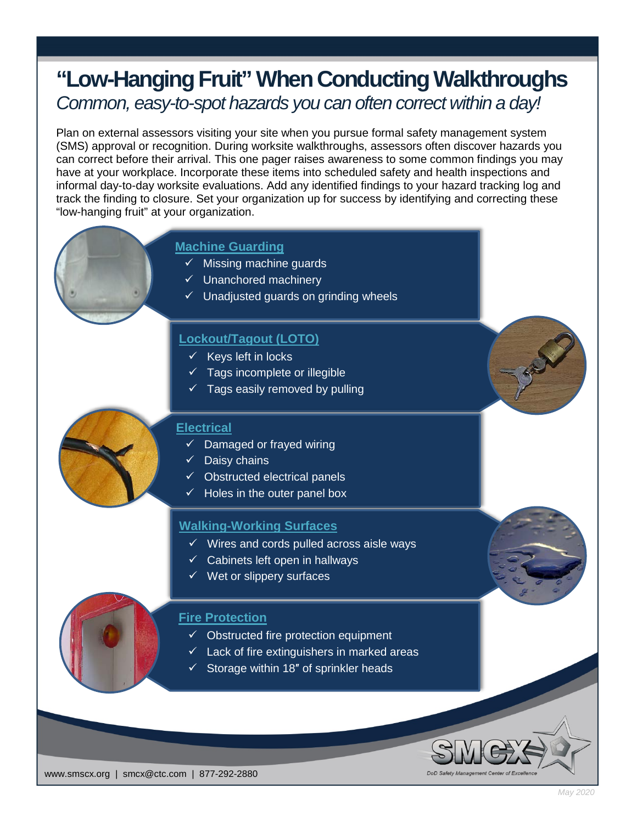# **"Low-Hanging Fruit" When Conducting Walkthroughs** *Common, easy-to-spot hazards you can often correct within a day!*

Plan on external assessors visiting your site when you pursue formal safety management system (SMS) approval or recognition. During worksite walkthroughs, assessors often discover hazards you can correct before their arrival. This one pager raises awareness to some common findings you may have at your workplace. Incorporate these items into scheduled safety and health inspections and informal day-to-day worksite evaluations. Add any identified findings to your hazard tracking log and track the finding to closure. Set your organization up for success by identifying and correcting these "low-hanging fruit" at your organization.

# **Machine Guarding**

- $\checkmark$  Missing machine guards
- $\checkmark$  Unanchored machinery
- $\checkmark$  Unadjusted guards on grinding wheels

# **Lockout/Tagout (LOTO)**

- $\checkmark$  Keys left in locks
- $\checkmark$  Tags incomplete or illegible
- $\checkmark$  Tags easily removed by pulling

#### **Electrical**

- Damaged or frayed wiring
- $\checkmark$  Daisy chains
- $\checkmark$  Obstructed electrical panels
- $\checkmark$  Holes in the outer panel box

## **Walking-Working Surfaces**

- $\checkmark$  Wires and cords pulled across aisle ways
- $\checkmark$  Cabinets left open in hallways
- $\checkmark$  Wet or slippery surfaces

## **Fire Protection**

- $\checkmark$  Obstructed fire protection equipment
- $\sqrt{ }$  Lack of fire extinguishers in marked areas
- $\checkmark$  Storage within 18" of sprinkler heads